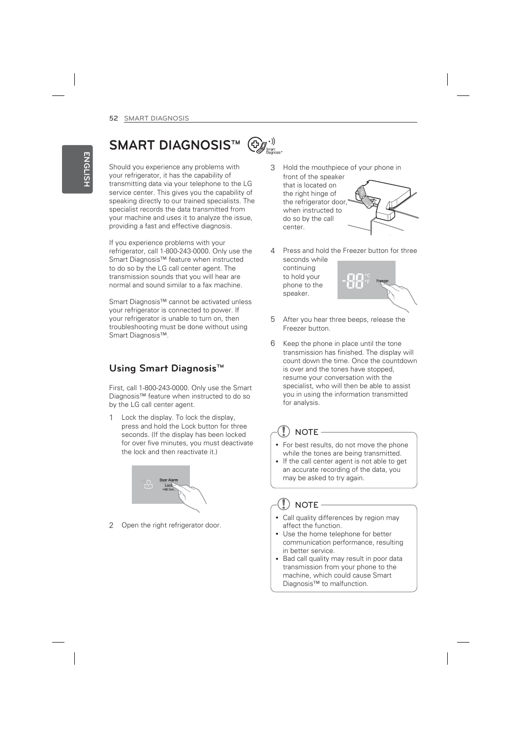# **SMART DIAGNOSIS™**

Should you experience any problems with your refrigerator, it has the capability of transmitting data via your telephone to the LG service center. This gives you the capability of speaking directly to our trained specialists. The specialist records the data transmitted from your machine and uses it to analyze the issue, providing a fast and effective diagnosis.

If you experience problems with your refrigerator, call 1-800-243-0000. Only use the Smart Diagnosis™ feature when instructed to do so by the LG call center agent. The transmission sounds that you will hear are normal and sound similar to a fax machine.

Smart Diagnosis™ cannot be activated unless your refrigerator is connected to power. If your refrigerator is unable to turn on, then troubleshooting must be done without using Smart Diagnosis™.

# **Using Smart Diagnosis™**

First, call 1-800-243-0000. Only use the Smart Diagnosis™ feature when instructed to do so by the LG call center agent.

1 Lock the display. To lock the display, press and hold the Lock button for three seconds. (If the display has been locked for over five minutes, you must deactivate the lock and then reactivate it.)



2 Open the right refrigerator door.

- 3 Hold the mouthpiece of your phone in front of the speaker that is located on the right hinge of the refrigerator door, when instructed to do so by the call center.
- Press and hold the Freezer button for three seconds while continuing to hold your

¥ Ť.

- 5 After you hear three beeps, release the Freezer button.
- 6 Keep the phone in place until the tone transmission has finished. The display will count down the time. Once the countdown is over and the tones have stopped, resume your conversation with the specialist, who will then be able to assist you in using the information transmitted for analysis.

# **NOTE**

phone to the speaker.

- For best results, do not move the phone while the tones are being transmitted.
- If the call center agent is not able to get an accurate recording of the data, you may be asked to try again.

#### $\mathbf{I}$ ) note -

- Call quality differences by region may affect the function.
- Use the home telephone for better communication performance, resulting in better service.
- Bad call quality may result in poor data transmission from your phone to the machine, which could cause Smart Diagnosis™ to malfunction.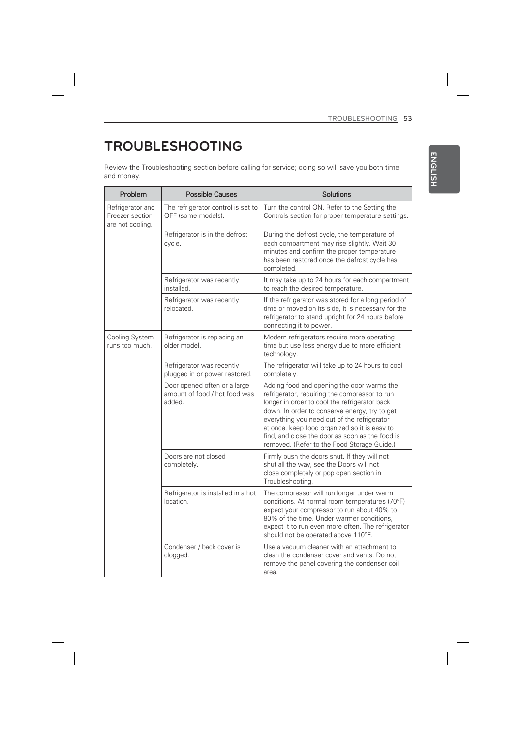**ENGLISH**

**ENGLISH** 

# **TROUBLESHOOTING**

 $\begin{array}{c} \hline \end{array}$ 

Review the Troubleshooting section before calling for service; doing so will save you both time and money.

| Problem                                                 | <b>Possible Causes</b>                                                  | Solutions                                                                                                                                                                                                                                                                                                                                                                                       |
|---------------------------------------------------------|-------------------------------------------------------------------------|-------------------------------------------------------------------------------------------------------------------------------------------------------------------------------------------------------------------------------------------------------------------------------------------------------------------------------------------------------------------------------------------------|
| Refrigerator and<br>Freezer section<br>are not cooling. | The refrigerator control is set to<br>OFF (some models).                | Turn the control ON. Refer to the Setting the<br>Controls section for proper temperature settings.                                                                                                                                                                                                                                                                                              |
|                                                         | Refrigerator is in the defrost<br>cycle.                                | During the defrost cycle, the temperature of<br>each compartment may rise slightly. Wait 30<br>minutes and confirm the proper temperature<br>has been restored once the defrost cycle has<br>completed.                                                                                                                                                                                         |
|                                                         | Refrigerator was recently<br>installed.                                 | It may take up to 24 hours for each compartment<br>to reach the desired temperature.                                                                                                                                                                                                                                                                                                            |
|                                                         | Refrigerator was recently<br>relocated.                                 | If the refrigerator was stored for a long period of<br>time or moved on its side, it is necessary for the<br>refrigerator to stand upright for 24 hours before<br>connecting it to power.                                                                                                                                                                                                       |
| Cooling System<br>runs too much.                        | Refrigerator is replacing an<br>older model.                            | Modern refrigerators require more operating<br>time but use less energy due to more efficient<br>technology.                                                                                                                                                                                                                                                                                    |
|                                                         | Refrigerator was recently<br>plugged in or power restored.              | The refrigerator will take up to 24 hours to cool<br>completely.                                                                                                                                                                                                                                                                                                                                |
|                                                         | Door opened often or a large<br>amount of food / hot food was<br>added. | Adding food and opening the door warms the<br>refrigerator, requiring the compressor to run<br>longer in order to cool the refrigerator back<br>down. In order to conserve energy, try to get<br>everything you need out of the refrigerator<br>at once, keep food organized so it is easy to<br>find, and close the door as soon as the food is<br>removed. (Refer to the Food Storage Guide.) |
|                                                         | Doors are not closed<br>completely.                                     | Firmly push the doors shut. If they will not<br>shut all the way, see the Doors will not<br>close completely or pop open section in<br>Troubleshooting.                                                                                                                                                                                                                                         |
|                                                         | Refrigerator is installed in a hot<br>location.                         | The compressor will run longer under warm<br>conditions. At normal room temperatures (70°F)<br>expect your compressor to run about 40% to<br>80% of the time. Under warmer conditions,<br>expect it to run even more often. The refrigerator<br>should not be operated above 110°F.                                                                                                             |
|                                                         | Condenser / back cover is<br>clogged.                                   | Use a vacuum cleaner with an attachment to<br>clean the condenser cover and vents. Do not<br>remove the panel covering the condenser coil<br>area.                                                                                                                                                                                                                                              |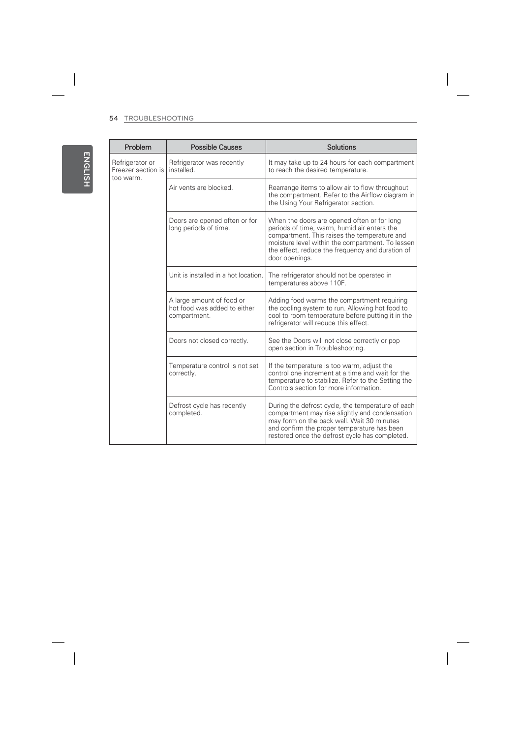$\overline{\phantom{a}}$ 

 $\begin{array}{c} \hline \end{array}$ 

| Problem                                            | <b>Possible Causes</b>                                                    | Solutions                                                                                                                                                                                                                                                            |
|----------------------------------------------------|---------------------------------------------------------------------------|----------------------------------------------------------------------------------------------------------------------------------------------------------------------------------------------------------------------------------------------------------------------|
| Refrigerator or<br>Freezer section is<br>too warm. | Refrigerator was recently<br>installed.                                   | It may take up to 24 hours for each compartment<br>to reach the desired temperature.                                                                                                                                                                                 |
|                                                    | Air vents are blocked.                                                    | Rearrange items to allow air to flow throughout<br>the compartment. Refer to the Airflow diagram in<br>the Using Your Refrigerator section.                                                                                                                          |
|                                                    | Doors are opened often or for<br>long periods of time.                    | When the doors are opened often or for long<br>periods of time, warm, humid air enters the<br>compartment. This raises the temperature and<br>moisture level within the compartment. To lessen<br>the effect, reduce the frequency and duration of<br>door openings. |
|                                                    | Unit is installed in a hot location.                                      | The refrigerator should not be operated in<br>temperatures above 110F.                                                                                                                                                                                               |
|                                                    | A large amount of food or<br>hot food was added to either<br>compartment. | Adding food warms the compartment requiring<br>the cooling system to run. Allowing hot food to<br>cool to room temperature before putting it in the<br>refrigerator will reduce this effect.                                                                         |
|                                                    | Doors not closed correctly.                                               | See the Doors will not close correctly or pop<br>open section in Troubleshooting.                                                                                                                                                                                    |
|                                                    | Temperature control is not set<br>correctly.                              | If the temperature is too warm, adjust the<br>control one increment at a time and wait for the<br>temperature to stabilize. Refer to the Setting the<br>Controls section for more information.                                                                       |
|                                                    | Defrost cycle has recently<br>completed.                                  | During the defrost cycle, the temperature of each<br>compartment may rise slightly and condensation<br>may form on the back wall. Wait 30 minutes<br>and confirm the proper temperature has been<br>restored once the defrost cycle has completed.                   |

 $\overline{\phantom{a}}$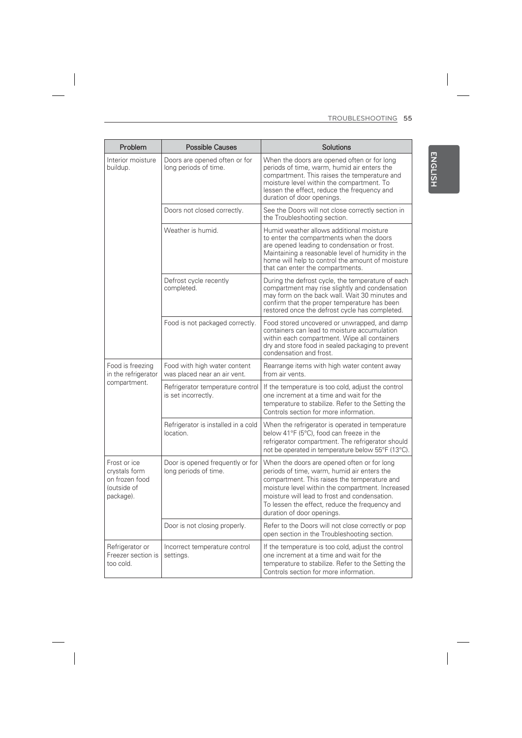| Problem                                                                     | <b>Possible Causes</b>                                       | Solutions                                                                                                                                                                                                                                                                                                                       |
|-----------------------------------------------------------------------------|--------------------------------------------------------------|---------------------------------------------------------------------------------------------------------------------------------------------------------------------------------------------------------------------------------------------------------------------------------------------------------------------------------|
| Interior moisture<br>buildup.                                               | Doors are opened often or for<br>long periods of time.       | When the doors are opened often or for long<br>periods of time, warm, humid air enters the<br>compartment. This raises the temperature and<br>moisture level within the compartment. To<br>lessen the effect, reduce the frequency and<br>duration of door openings.                                                            |
|                                                                             | Doors not closed correctly.                                  | See the Doors will not close correctly section in<br>the Troubleshooting section.                                                                                                                                                                                                                                               |
|                                                                             | Weather is humid.                                            | Humid weather allows additional moisture<br>to enter the compartments when the doors<br>are opened leading to condensation or frost.<br>Maintaining a reasonable level of humidity in the<br>home will help to control the amount of moisture<br>that can enter the compartments.                                               |
|                                                                             | Defrost cycle recently<br>completed.                         | During the defrost cycle, the temperature of each<br>compartment may rise slightly and condensation<br>may form on the back wall. Wait 30 minutes and<br>confirm that the proper temperature has been<br>restored once the defrost cycle has completed.                                                                         |
|                                                                             | Food is not packaged correctly.                              | Food stored uncovered or unwrapped, and damp<br>containers can lead to moisture accumulation<br>within each compartment. Wipe all containers<br>dry and store food in sealed packaging to prevent<br>condensation and frost.                                                                                                    |
| Food is freezing<br>in the refrigerator                                     | Food with high water content<br>was placed near an air vent. | Rearrange items with high water content away<br>from air vents.                                                                                                                                                                                                                                                                 |
| compartment.                                                                | Refrigerator temperature control<br>is set incorrectly.      | If the temperature is too cold, adjust the control<br>one increment at a time and wait for the<br>temperature to stabilize. Refer to the Setting the<br>Controls section for more information.                                                                                                                                  |
|                                                                             | Refrigerator is installed in a cold<br>location.             | When the refrigerator is operated in temperature<br>below 41°F (5°C), food can freeze in the<br>refrigerator compartment. The refrigerator should<br>not be operated in temperature below 55°F (13°C).                                                                                                                          |
| Frost or ice<br>crystals form<br>on frozen food<br>(outside of<br>package). | Door is opened frequently or for<br>long periods of time.    | When the doors are opened often or for long<br>periods of time, warm, humid air enters the<br>compartment. This raises the temperature and<br>moisture level within the compartment. Increased<br>moisture will lead to frost and condensation.<br>To lessen the effect, reduce the frequency and<br>duration of door openings. |
|                                                                             | Door is not closing properly.                                | Refer to the Doors will not close correctly or pop<br>open section in the Troubleshooting section.                                                                                                                                                                                                                              |
| Refrigerator or<br>Freezer section is<br>too cold.                          | Incorrect temperature control<br>settings.                   | If the temperature is too cold, adjust the control<br>one increment at a time and wait for the<br>temperature to stabilize. Refer to the Setting the<br>Controls section for more information.                                                                                                                                  |

 $\overline{\phantom{a}}$ 

 $\overline{\phantom{a}}$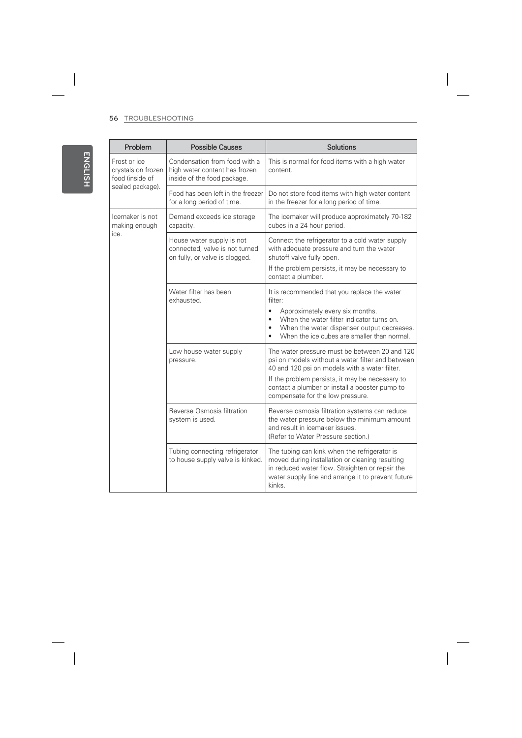$\begin{array}{c} \hline \end{array}$ 

 $\begin{array}{c} \hline \end{array}$ 

| Problem                                                                   | <b>Possible Causes</b>                                                                        | Solutions                                                                                                                                                                                                                                                                                   |
|---------------------------------------------------------------------------|-----------------------------------------------------------------------------------------------|---------------------------------------------------------------------------------------------------------------------------------------------------------------------------------------------------------------------------------------------------------------------------------------------|
| Frost or ice<br>crystals on frozen<br>food (inside of<br>sealed package). | Condensation from food with a<br>high water content has frozen<br>inside of the food package. | This is normal for food items with a high water<br>content.                                                                                                                                                                                                                                 |
|                                                                           | Food has been left in the freezer<br>for a long period of time.                               | Do not store food items with high water content<br>in the freezer for a long period of time.                                                                                                                                                                                                |
| Icemaker is not<br>making enough<br>ice.                                  | Demand exceeds ice storage<br>capacity.                                                       | The icemaker will produce approximately 70-182<br>cubes in a 24 hour period.                                                                                                                                                                                                                |
|                                                                           | House water supply is not<br>connected, valve is not turned<br>on fully, or valve is clogged. | Connect the refrigerator to a cold water supply<br>with adequate pressure and turn the water<br>shutoff valve fully open.<br>If the problem persists, it may be necessary to<br>contact a plumber.                                                                                          |
|                                                                           | Water filter has been<br>exhausted.                                                           | It is recommended that you replace the water<br>filter:<br>Approximately every six months.<br>$\bullet$<br>When the water filter indicator turns on.<br>When the water dispenser output decreases.<br>٠<br>When the ice cubes are smaller than normal.                                      |
|                                                                           | Low house water supply<br>pressure.                                                           | The water pressure must be between 20 and 120<br>psi on models without a water filter and between<br>40 and 120 psi on models with a water filter.<br>If the problem persists, it may be necessary to<br>contact a plumber or install a booster pump to<br>compensate for the low pressure. |
|                                                                           | Reverse Osmosis filtration<br>system is used.                                                 | Reverse osmosis filtration systems can reduce<br>the water pressure below the minimum amount<br>and result in icemaker issues.<br>(Refer to Water Pressure section.)                                                                                                                        |
|                                                                           | Tubing connecting refrigerator<br>to house supply valve is kinked.                            | The tubing can kink when the refrigerator is<br>moved during installation or cleaning resulting<br>in reduced water flow. Straighten or repair the<br>water supply line and arrange it to prevent future<br>kinks.                                                                          |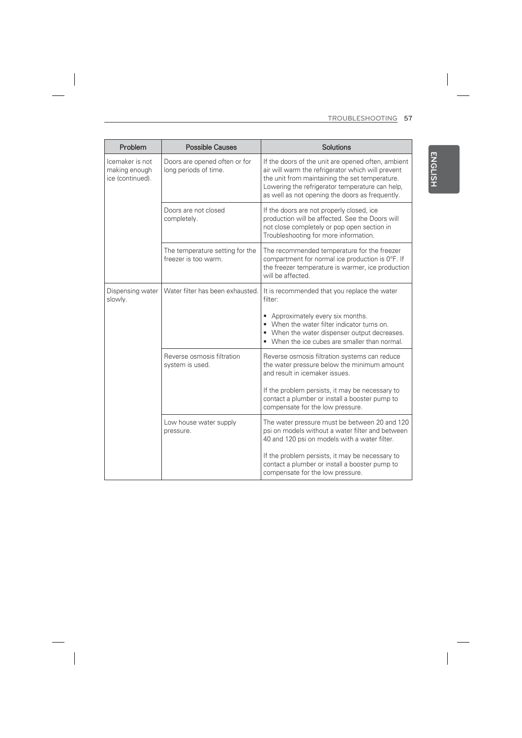**ENGLISH**

ENGLISH

| Problem                                              | <b>Possible Causes</b>                                  | Solutions                                                                                                                                                                                                                                                       |
|------------------------------------------------------|---------------------------------------------------------|-----------------------------------------------------------------------------------------------------------------------------------------------------------------------------------------------------------------------------------------------------------------|
| Icemaker is not<br>making enough<br>ice (continued). | Doors are opened often or for<br>long periods of time.  | If the doors of the unit are opened often, ambient<br>air will warm the refrigerator which will prevent<br>the unit from maintaining the set temperature.<br>Lowering the refrigerator temperature can help,<br>as well as not opening the doors as frequently. |
|                                                      | Doors are not closed<br>completely.                     | If the doors are not properly closed, ice<br>production will be affected. See the Doors will<br>not close completely or pop open section in<br>Troubleshooting for more information.                                                                            |
|                                                      | The temperature setting for the<br>freezer is too warm. | The recommended temperature for the freezer<br>compartment for normal ice production is 0°F. If<br>the freezer temperature is warmer, ice production<br>will be affected.                                                                                       |
| Dispensing water<br>slowly.                          | Water filter has been exhausted.                        | It is recommended that you replace the water<br>filter:                                                                                                                                                                                                         |
|                                                      |                                                         | • Approximately every six months.<br>• When the water filter indicator turns on.<br>• When the water dispenser output decreases.<br>• When the ice cubes are smaller than normal.                                                                               |
|                                                      | Reverse osmosis filtration<br>system is used.           | Reverse osmosis filtration systems can reduce<br>the water pressure below the minimum amount<br>and result in icemaker issues.                                                                                                                                  |
|                                                      |                                                         | If the problem persists, it may be necessary to<br>contact a plumber or install a booster pump to<br>compensate for the low pressure.                                                                                                                           |
|                                                      | Low house water supply<br>pressure.                     | The water pressure must be between 20 and 120<br>psi on models without a water filter and between<br>40 and 120 psi on models with a water filter.                                                                                                              |
|                                                      |                                                         | If the problem persists, it may be necessary to<br>contact a plumber or install a booster pump to<br>compensate for the low pressure.                                                                                                                           |

 $\overline{\phantom{a}}$ 

 $\overline{\phantom{a}}$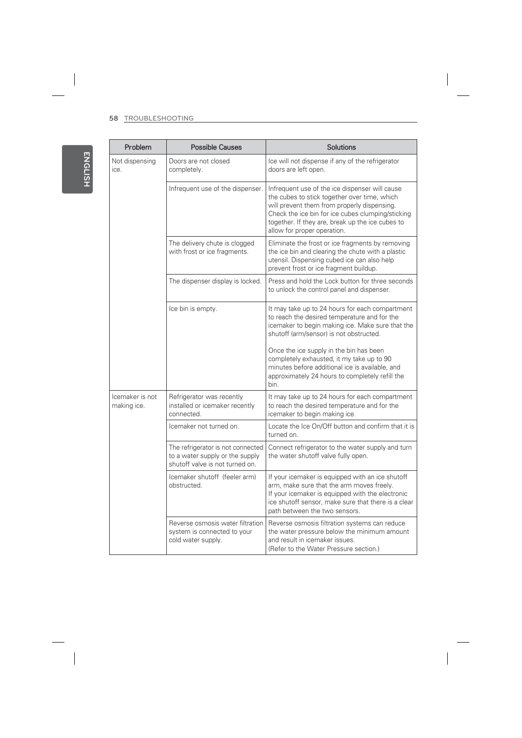$\overline{\phantom{a}}$ 

| Problem                        | <b>Possible Causes</b>                                                                                  | <b>Solutions</b>                                                                                                                                                                                                                                                                      |
|--------------------------------|---------------------------------------------------------------------------------------------------------|---------------------------------------------------------------------------------------------------------------------------------------------------------------------------------------------------------------------------------------------------------------------------------------|
| Not dispensing<br>ice.         | Doors are not closed<br>completely.                                                                     | Ice will not dispense if any of the refrigerator<br>doors are left open.                                                                                                                                                                                                              |
|                                | Infrequent use of the dispenser.                                                                        | Infrequent use of the ice dispenser will cause<br>the cubes to stick together over time, which<br>will prevent them from properly dispensing.<br>Check the ice bin for ice cubes clumping/sticking<br>together. If they are, break up the ice cubes to<br>allow for proper operation. |
|                                | The delivery chute is clogged<br>with frost or ice fragments.                                           | Eliminate the frost or ice fragments by removing<br>the ice bin and clearing the chute with a plastic<br>utensil. Dispensing cubed ice can also help<br>prevent frost or ice fragment buildup.                                                                                        |
|                                | The dispenser display is locked.                                                                        | Press and hold the Lock button for three seconds<br>to unlock the control panel and dispenser.                                                                                                                                                                                        |
|                                | Ice bin is empty.                                                                                       | It may take up to 24 hours for each compartment<br>to reach the desired temperature and for the<br>icemaker to begin making ice. Make sure that the<br>shutoff (arm/sensor) is not obstructed.                                                                                        |
|                                |                                                                                                         | Once the ice supply in the bin has been<br>completely exhausted, it my take up to 90<br>minutes before additional ice is available, and<br>approximately 24 hours to completely refill the<br>bin.                                                                                    |
| Icemaker is not<br>making ice. | Refrigerator was recently<br>installed or icemaker recently<br>connected.                               | It may take up to 24 hours for each compartment<br>to reach the desired temperature and for the<br>icemaker to begin making ice.                                                                                                                                                      |
|                                | Icemaker not turned on.                                                                                 | Locate the Ice On/Off button and confirm that it is<br>turned on.                                                                                                                                                                                                                     |
|                                | The refrigerator is not connected<br>to a water supply or the supply<br>shutoff valve is not turned on. | Connect refrigerator to the water supply and turn<br>the water shutoff valve fully open.                                                                                                                                                                                              |
|                                | Icemaker shutoff (feeler arm)<br>obstructed.                                                            | If your icemaker is equipped with an ice shutoff<br>arm, make sure that the arm moves freely.<br>If your icemaker is equipped with the electronic<br>ice shutoff sensor, make sure that there is a clear<br>path between the two sensors.                                             |
|                                | Reverse osmosis water filtration<br>system is connected to your<br>cold water supply.                   | Reverse osmosis filtration systems can reduce<br>the water pressure below the minimum amount<br>and result in icemaker issues.<br>(Refer to the Water Pressure section.)                                                                                                              |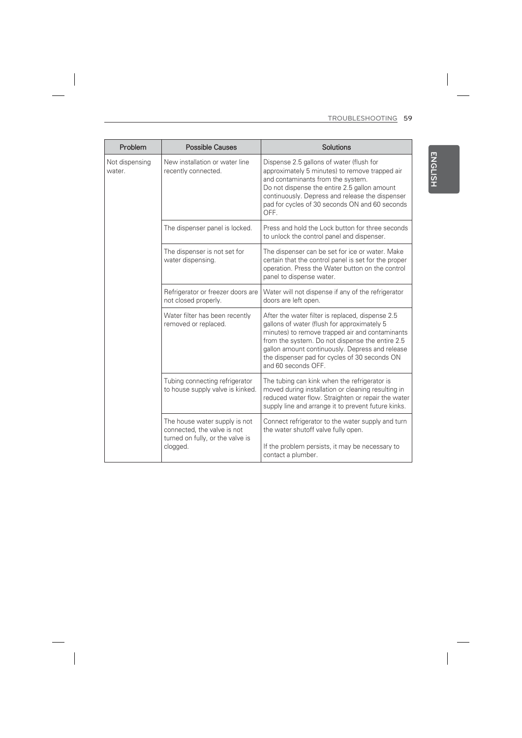| Problem                  | <b>Possible Causes</b>                                                                                       | Solutions                                                                                                                                                                                                                                                                                                                        |
|--------------------------|--------------------------------------------------------------------------------------------------------------|----------------------------------------------------------------------------------------------------------------------------------------------------------------------------------------------------------------------------------------------------------------------------------------------------------------------------------|
| Not dispensing<br>water. | New installation or water line<br>recently connected.                                                        | Dispense 2.5 gallons of water (flush for<br>approximately 5 minutes) to remove trapped air<br>and contaminants from the system.<br>Do not dispense the entire 2.5 gallon amount<br>continuously. Depress and release the dispenser<br>pad for cycles of 30 seconds ON and 60 seconds<br>OFF.                                     |
|                          | The dispenser panel is locked.                                                                               | Press and hold the Lock button for three seconds<br>to unlock the control panel and dispenser.                                                                                                                                                                                                                                   |
|                          | The dispenser is not set for<br>water dispensing.                                                            | The dispenser can be set for ice or water. Make<br>certain that the control panel is set for the proper<br>operation. Press the Water button on the control<br>panel to dispense water.                                                                                                                                          |
|                          | Refrigerator or freezer doors are<br>not closed properly.                                                    | Water will not dispense if any of the refrigerator<br>doors are left open.                                                                                                                                                                                                                                                       |
|                          | Water filter has been recently<br>removed or replaced.                                                       | After the water filter is replaced, dispense 2.5<br>gallons of water (flush for approximately 5<br>minutes) to remove trapped air and contaminants<br>from the system. Do not dispense the entire 2.5<br>gallon amount continuously. Depress and release<br>the dispenser pad for cycles of 30 seconds ON<br>and 60 seconds OFF. |
|                          | Tubing connecting refrigerator<br>to house supply valve is kinked.                                           | The tubing can kink when the refrigerator is<br>moved during installation or cleaning resulting in<br>reduced water flow. Straighten or repair the water<br>supply line and arrange it to prevent future kinks.                                                                                                                  |
|                          | The house water supply is not<br>connected, the valve is not<br>turned on fully, or the valve is<br>clogged. | Connect refrigerator to the water supply and turn<br>the water shutoff valve fully open.<br>If the problem persists, it may be necessary to<br>contact a plumber.                                                                                                                                                                |

 $\begin{array}{c} \begin{array}{c} \begin{array}{c} \end{array} \end{array} \end{array}$ 

 $\overline{\phantom{a}}$ 

ENGLISH **ENGLISH**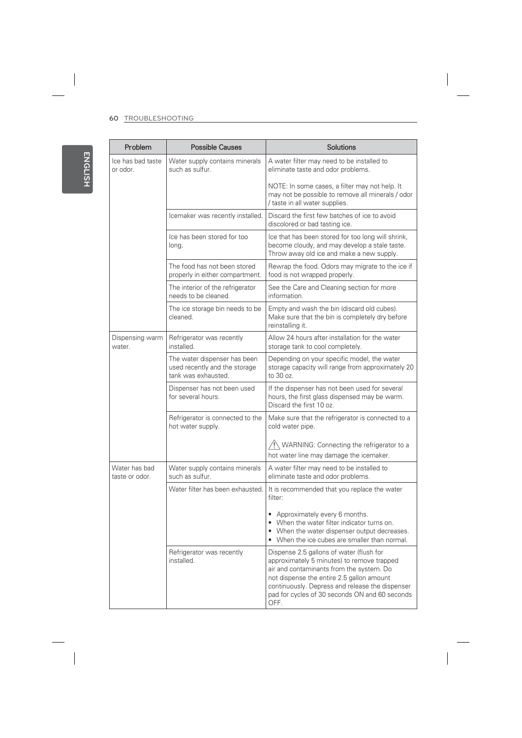$\begin{array}{c} \hline \end{array}$ 

| Problem                         | <b>Possible Causes</b>                                                               | Solutions                                                                                                                                                                                                                                                                                    |
|---------------------------------|--------------------------------------------------------------------------------------|----------------------------------------------------------------------------------------------------------------------------------------------------------------------------------------------------------------------------------------------------------------------------------------------|
| Ice has bad taste<br>or odor.   | Water supply contains minerals<br>such as sulfur.                                    | A water filter may need to be installed to<br>eliminate taste and odor problems.                                                                                                                                                                                                             |
|                                 |                                                                                      | NOTE: In some cases, a filter may not help. It<br>may not be possible to remove all minerals / odor<br>/ taste in all water supplies.                                                                                                                                                        |
|                                 | Icemaker was recently installed.                                                     | Discard the first few batches of ice to avoid<br>discolored or bad tasting ice.                                                                                                                                                                                                              |
|                                 | Ice has been stored for too<br>long.                                                 | Ice that has been stored for too long will shrink,<br>become cloudy, and may develop a stale taste.<br>Throw away old ice and make a new supply.                                                                                                                                             |
|                                 | The food has not been stored<br>properly in either compartment.                      | Rewrap the food. Odors may migrate to the ice if<br>food is not wrapped properly.                                                                                                                                                                                                            |
|                                 | The interior of the refrigerator<br>needs to be cleaned.                             | See the Care and Cleaning section for more<br>information.                                                                                                                                                                                                                                   |
|                                 | The ice storage bin needs to be<br>cleaned.                                          | Empty and wash the bin (discard old cubes).<br>Make sure that the bin is completely dry before<br>reinstalling it.                                                                                                                                                                           |
| Dispensing warm<br>water.       | Refrigerator was recently<br>installed.                                              | Allow 24 hours after installation for the water<br>storage tank to cool completely.                                                                                                                                                                                                          |
|                                 | The water dispenser has been<br>used recently and the storage<br>tank was exhausted. | Depending on your specific model, the water<br>storage capacity will range from approximately 20<br>to 30 oz.                                                                                                                                                                                |
|                                 | Dispenser has not been used<br>for several hours.                                    | If the dispenser has not been used for several<br>hours, the first glass dispensed may be warm.<br>Discard the first 10 oz.                                                                                                                                                                  |
|                                 | Refrigerator is connected to the<br>hot water supply.                                | Make sure that the refrigerator is connected to a<br>cold water pipe.                                                                                                                                                                                                                        |
|                                 |                                                                                      | $\sqrt{N}$ WARNING: Connecting the refrigerator to a<br>hot water line may damage the icemaker.                                                                                                                                                                                              |
| Water has bad<br>taste or odor. | Water supply contains minerals<br>such as sulfur.                                    | A water filter may need to be installed to<br>eliminate taste and odor problems.                                                                                                                                                                                                             |
|                                 | Water filter has been exhausted.                                                     | It is recommended that you replace the water<br>filter:                                                                                                                                                                                                                                      |
|                                 |                                                                                      | • Approximately every 6 months.<br>• When the water filter indicator turns on.<br>• When the water dispenser output decreases.<br>• When the ice cubes are smaller than normal.                                                                                                              |
|                                 | Refrigerator was recently<br>installed.                                              | Dispense 2.5 gallons of water (flush for<br>approximately 5 minutes) to remove trapped<br>air and contaminants from the system. Do<br>not dispense the entire 2.5 gallon amount<br>continuously. Depress and release the dispenser<br>pad for cycles of 30 seconds ON and 60 seconds<br>OFF. |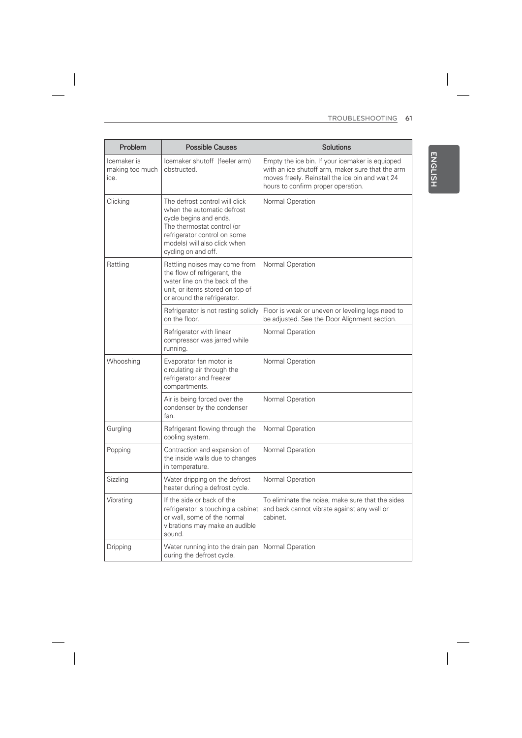| Problem                                | <b>Possible Causes</b>                                                                                                                                                                                      | Solutions                                                                                                                                                                                    |
|----------------------------------------|-------------------------------------------------------------------------------------------------------------------------------------------------------------------------------------------------------------|----------------------------------------------------------------------------------------------------------------------------------------------------------------------------------------------|
| Icemaker is<br>making too much<br>ice. | Icemaker shutoff (feeler arm)<br>obstructed.                                                                                                                                                                | Empty the ice bin. If your icemaker is equipped<br>with an ice shutoff arm, maker sure that the arm<br>moves freely. Reinstall the ice bin and wait 24<br>hours to confirm proper operation. |
| Clicking                               | The defrost control will click<br>when the automatic defrost<br>cycle begins and ends.<br>The thermostat control (or<br>refrigerator control on some<br>models) will also click when<br>cycling on and off. | Normal Operation                                                                                                                                                                             |
| Rattling                               | Rattling noises may come from<br>the flow of refrigerant, the<br>water line on the back of the<br>unit, or items stored on top of<br>or around the refrigerator.                                            | Normal Operation                                                                                                                                                                             |
|                                        | Refrigerator is not resting solidly<br>on the floor.                                                                                                                                                        | Floor is weak or uneven or leveling legs need to<br>be adjusted. See the Door Alignment section.                                                                                             |
|                                        | Refrigerator with linear<br>compressor was jarred while<br>running.                                                                                                                                         | Normal Operation                                                                                                                                                                             |
| Whooshing                              | Evaporator fan motor is<br>circulating air through the<br>refrigerator and freezer<br>compartments.                                                                                                         | Normal Operation                                                                                                                                                                             |
|                                        | Air is being forced over the<br>condenser by the condenser<br>fan.                                                                                                                                          | Normal Operation                                                                                                                                                                             |
| Gurgling                               | Refrigerant flowing through the<br>cooling system.                                                                                                                                                          | Normal Operation                                                                                                                                                                             |
| Popping                                | Contraction and expansion of<br>the inside walls due to changes<br>in temperature.                                                                                                                          | Normal Operation                                                                                                                                                                             |
| Sizzling                               | Water dripping on the defrost<br>heater during a defrost cycle.                                                                                                                                             | Normal Operation                                                                                                                                                                             |
| Vibrating                              | If the side or back of the<br>refrigerator is touching a cabinet<br>or wall, some of the normal<br>vibrations may make an audible<br>sound.                                                                 | To eliminate the noise, make sure that the sides<br>and back cannot vibrate against any wall or<br>cabinet.                                                                                  |
| Dripping                               | Water running into the drain pan<br>during the defrost cycle.                                                                                                                                               | Normal Operation                                                                                                                                                                             |

 $\overline{\phantom{a}}$ 

ENGLISH **ENGLISH**